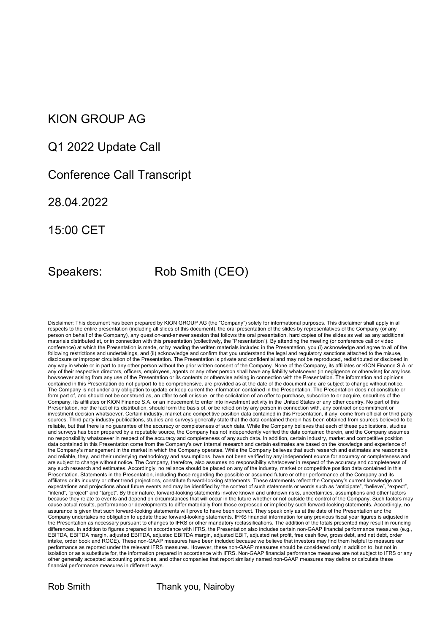### KION GROUP AG

#### Q1 2022 Update Call

#### Conference Call Transcript

28.04.2022

15:00 CET

## Speakers: Rob Smith (CEO)

Disclaimer: This document has been prepared by KION GROUP AG (the "Company") solely for informational purposes. This disclaimer shall apply in all respects to the entire presentation (including all slides of this document), the oral presentation of the slides by representatives of the Company (or any person on behalf of the Company), any question-and-answer session that follows the oral presentation, hard copies of the slides as well as any additional materials distributed at, or in connection with this presentation (collectively, the "Presentation"). By attending the meeting (or conference call or video conference) at which the Presentation is made, or by reading the written materials included in the Presentation, you (i) acknowledge and agree to all of the following restrictions and undertakings, and (ii) acknowledge and confirm that you understand the legal and regulatory sanctions attached to the misuse, disclosure or improper circulation of the Presentation. The Presentation is private and confidential and may not be reproduced, redistributed or disclosed in any way in whole or in part to any other person without the prior written consent of the Company. None of the Company, its affiliates or KION Finance S.A. or any of their respective directors, officers, employees, agents or any other person shall have any liability whatsoever (in negligence or otherwise) for any loss howsoever arising from any use of the Presentation or its contents or otherwise arising in connection with the Presentation. The information and opinions contained in this Presentation do not purport to be comprehensive, are provided as at the date of the document and are subject to change without notice. The Company is not under any obligation to update or keep current the information contained in the Presentation. The Presentation does not constitute or form part of, and should not be construed as, an offer to sell or issue, or the solicitation of an offer to purchase, subscribe to or acquire, securities of the Company, its affiliates or KION Finance S.A. or an inducement to enter into investment activity in the United States or any other country. No part of this Presentation, nor the fact of its distribution, should form the basis of, or be relied on by any person in connection with, any contract or commitment or investment decision whatsoever. Certain industry, market and competitive position data contained in this Presentation, if any, come from official or third party sources. Third party industry publications, studies and surveys generally state that the data contained therein has been obtained from sources believed to be reliable, but that there is no guarantee of the accuracy or completeness of such data. While the Company believes that each of these publications, studies and surveys has been prepared by a reputable source, the Company has not independently verified the data contained therein, and the Company assumes no responsibility whatsoever in respect of the accuracy and completeness of any such data. In addition, certain industry, market and competitive position data contained in this Presentation come from the Company's own internal research and certain estimates are based on the knowledge and experience of the Company's management in the market in which the Company operates. While the Company believes that such research and estimates are reasonable and reliable, they, and their underlying methodology and assumptions, have not been verified by any independent source for accuracy or completeness and are subject to change without notice. The Company, therefore, also assumes no responsibility whatsoever in respect of the accuracy and completeness ot any such research and estimates. Accordingly, no reliance should be placed on any of the industry, market or competitive position data contained in this Presentation. Statements in the Presentation, including those regarding the possible or assumed future or other performance of the Company and its affiliates or its industry or other trend projections, constitute forward-looking statements. These statements reflect the Company's current knowledge and expectations and projections about future events and may be identified by the context of such statements or words such as "anticipate", "believe", "expect", "intend", "project" and "target". By their nature, forward-looking statements involve known and unknown risks, uncertainties, assumptions and other factors because they relate to events and depend on circumstances that will occur in the future whether or not outside the control of the Company. Such factors may cause actual results, performance or developments to differ materially from those expressed or implied by such forward-looking statements. Accordingly, no assurance is given that such forward-looking statements will prove to have been correct. They speak only as at the date of the Presentation and the Company undertakes no obligation to update these forward-looking statements. IFRS financial information for any previous fiscal year figures is adjusted in the Presentation as necessary pursuant to changes to IFRS or other mandatory reclassifications. The addition of the totals presented may result in rounding differences. In addition to figures prepared in accordance with IFRS, the Presentation also includes certain non-GAAP financial performance measures (e.g., EBITDA, EBITDA margin, adjusted EBITDA, adjusted EBITDA margin, adjusted EBIT, adjusted net profit, free cash flow, gross debt, and net debt, order intake, order book and ROCE). These non-GAAP measures have been included because we believe that investors may find them helpful to measure our performance as reported under the relevant IFRS measures. However, these non-GAAP measures should be considered only in addition to, but not in isolation or as a substitute for, the information prepared in accordance with IFRS. Non-GAAP financial performance measures are not subject to IFRS or any other generally accepted accounting principles, and other companies that report similarly named non-GAAP measures may define or calculate these financial performance measures in different ways.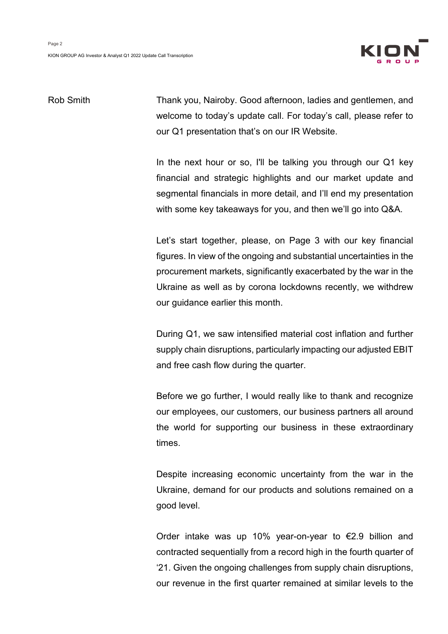

Rob Smith Thank you, Nairoby. Good afternoon, ladies and gentlemen, and welcome to today's update call. For today's call, please refer to our Q1 presentation that's on our IR Website.

> In the next hour or so. I'll be talking you through our Q1 key financial and strategic highlights and our market update and segmental financials in more detail, and I'll end my presentation with some key takeaways for you, and then we'll go into Q&A.

> Let's start together, please, on Page 3 with our key financial figures. In view of the ongoing and substantial uncertainties in the procurement markets, significantly exacerbated by the war in the Ukraine as well as by corona lockdowns recently, we withdrew our guidance earlier this month.

> During Q1, we saw intensified material cost inflation and further supply chain disruptions, particularly impacting our adjusted EBIT and free cash flow during the quarter.

> Before we go further, I would really like to thank and recognize our employees, our customers, our business partners all around the world for supporting our business in these extraordinary times.

> Despite increasing economic uncertainty from the war in the Ukraine, demand for our products and solutions remained on a good level.

> Order intake was up 10% year-on-year to €2.9 billion and contracted sequentially from a record high in the fourth quarter of '21. Given the ongoing challenges from supply chain disruptions, our revenue in the first quarter remained at similar levels to the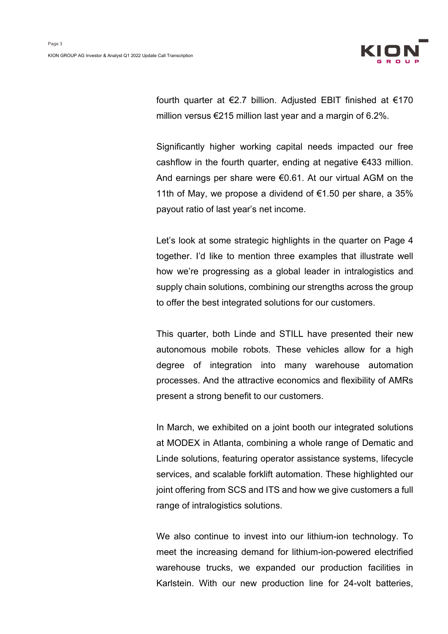

fourth quarter at €2.7 billion. Adjusted EBIT finished at €170 million versus €215 million last year and a margin of 6.2%.

Significantly higher working capital needs impacted our free cashflow in the fourth quarter, ending at negative €433 million. And earnings per share were €0.61. At our virtual AGM on the 11th of May, we propose a dividend of €1.50 per share, a 35% payout ratio of last year's net income.

Let's look at some strategic highlights in the quarter on Page 4 together. I'd like to mention three examples that illustrate well how we're progressing as a global leader in intralogistics and supply chain solutions, combining our strengths across the group to offer the best integrated solutions for our customers.

This quarter, both Linde and STILL have presented their new autonomous mobile robots. These vehicles allow for a high degree of integration into many warehouse automation processes. And the attractive economics and flexibility of AMRs present a strong benefit to our customers.

In March, we exhibited on a joint booth our integrated solutions at MODEX in Atlanta, combining a whole range of Dematic and Linde solutions, featuring operator assistance systems, lifecycle services, and scalable forklift automation. These highlighted our joint offering from SCS and ITS and how we give customers a full range of intralogistics solutions.

We also continue to invest into our lithium-ion technology. To meet the increasing demand for lithium-ion-powered electrified warehouse trucks, we expanded our production facilities in Karlstein. With our new production line for 24-volt batteries,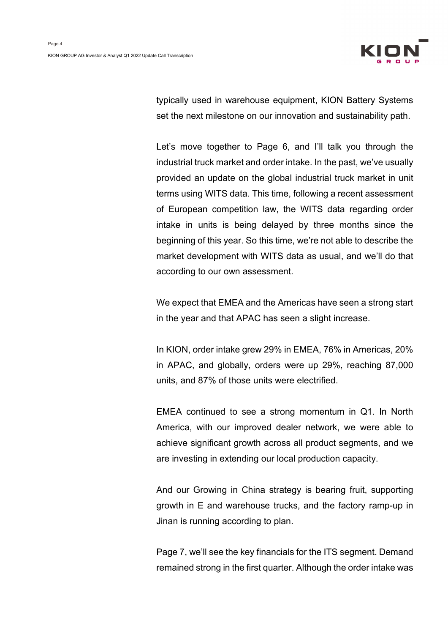

typically used in warehouse equipment, KION Battery Systems set the next milestone on our innovation and sustainability path.

Let's move together to Page 6, and I'll talk you through the industrial truck market and order intake. In the past, we've usually provided an update on the global industrial truck market in unit terms using WITS data. This time, following a recent assessment of European competition law, the WITS data regarding order intake in units is being delayed by three months since the beginning of this year. So this time, we're not able to describe the market development with WITS data as usual, and we'll do that according to our own assessment.

We expect that EMEA and the Americas have seen a strong start in the year and that APAC has seen a slight increase.

In KION, order intake grew 29% in EMEA, 76% in Americas, 20% in APAC, and globally, orders were up 29%, reaching 87,000 units, and 87% of those units were electrified.

EMEA continued to see a strong momentum in Q1. In North America, with our improved dealer network, we were able to achieve significant growth across all product segments, and we are investing in extending our local production capacity.

And our Growing in China strategy is bearing fruit, supporting growth in E and warehouse trucks, and the factory ramp-up in Jinan is running according to plan.

Page 7, we'll see the key financials for the ITS segment. Demand remained strong in the first quarter. Although the order intake was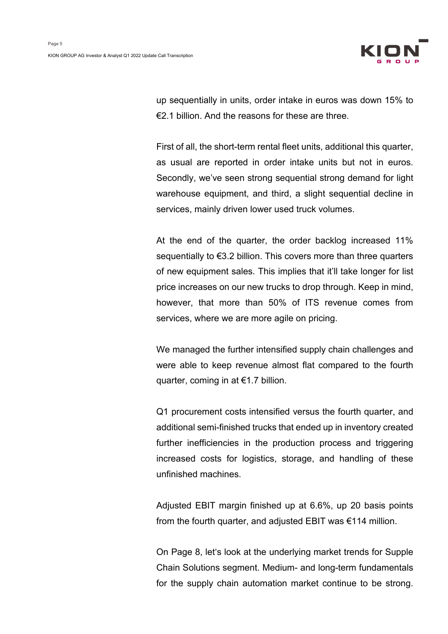

up sequentially in units, order intake in euros was down 15% to €2.1 billion. And the reasons for these are three.

First of all, the short-term rental fleet units, additional this quarter, as usual are reported in order intake units but not in euros. Secondly, we've seen strong sequential strong demand for light warehouse equipment, and third, a slight sequential decline in services, mainly driven lower used truck volumes.

At the end of the quarter, the order backlog increased 11% sequentially to €3.2 billion. This covers more than three quarters of new equipment sales. This implies that it'll take longer for list price increases on our new trucks to drop through. Keep in mind, however, that more than 50% of ITS revenue comes from services, where we are more agile on pricing.

We managed the further intensified supply chain challenges and were able to keep revenue almost flat compared to the fourth quarter, coming in at €1.7 billion.

Q1 procurement costs intensified versus the fourth quarter, and additional semi-finished trucks that ended up in inventory created further inefficiencies in the production process and triggering increased costs for logistics, storage, and handling of these unfinished machines.

Adjusted EBIT margin finished up at 6.6%, up 20 basis points from the fourth quarter, and adjusted EBIT was €114 million.

On Page 8, let's look at the underlying market trends for Supple Chain Solutions segment. Medium- and long-term fundamentals for the supply chain automation market continue to be strong.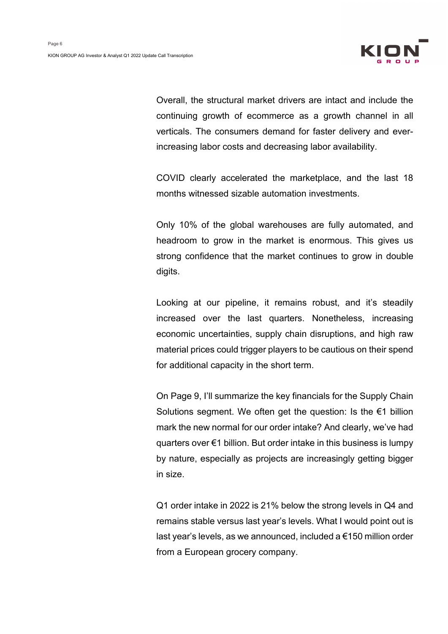

Overall, the structural market drivers are intact and include the continuing growth of ecommerce as a growth channel in all verticals. The consumers demand for faster delivery and everincreasing labor costs and decreasing labor availability.

COVID clearly accelerated the marketplace, and the last 18 months witnessed sizable automation investments.

Only 10% of the global warehouses are fully automated, and headroom to grow in the market is enormous. This gives us strong confidence that the market continues to grow in double digits.

Looking at our pipeline, it remains robust, and it's steadily increased over the last quarters. Nonetheless, increasing economic uncertainties, supply chain disruptions, and high raw material prices could trigger players to be cautious on their spend for additional capacity in the short term.

On Page 9, I'll summarize the key financials for the Supply Chain Solutions segment. We often get the question: Is the €1 billion mark the new normal for our order intake? And clearly, we've had quarters over €1 billion. But order intake in this business is lumpy by nature, especially as projects are increasingly getting bigger in size.

Q1 order intake in 2022 is 21% below the strong levels in Q4 and remains stable versus last year's levels. What I would point out is last year's levels, as we announced, included a €150 million order from a European grocery company.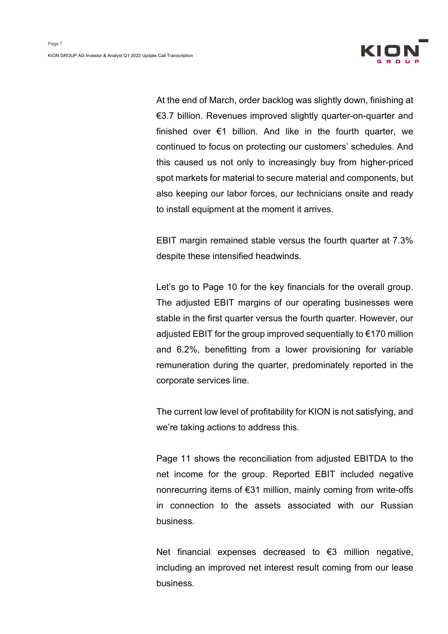

At the end of March, order backlog was slightly down, finishing at €3.7 billion. Revenues improved slightly quarter-on-quarter and finished over €1 billion. And like in the fourth quarter, we continued to focus on protecting our customers' schedules. And this caused us not only to increasingly buy from higher-priced spot markets for material to secure material and components, but also keeping our labor forces, our technicians onsite and ready to install equipment at the moment it arrives.

EBIT margin remained stable versus the fourth quarter at 7.3% despite these intensified headwinds.

Let's go to Page 10 for the key financials for the overall group. The adjusted EBIT margins of our operating businesses were stable in the first quarter versus the fourth quarter. However, our adjusted EBIT for the group improved sequentially to €170 million and 6.2%, benefitting from a lower provisioning for variable remuneration during the quarter, predominately reported in the corporate services line.

The current low level of profitability for KION is not satisfying, and we're taking actions to address this.

Page 11 shows the reconciliation from adjusted EBITDA to the net income for the group. Reported EBIT included negative nonrecurring items of €31 million, mainly coming from write-offs in connection to the assets associated with our Russian business.

Net financial expenses decreased to €3 million negative, including an improved net interest result coming from our lease business.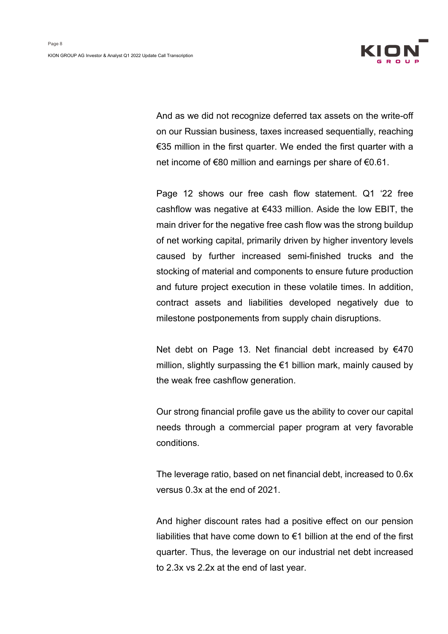

And as we did not recognize deferred tax assets on the write-off on our Russian business, taxes increased sequentially, reaching €35 million in the first quarter. We ended the first quarter with a net income of €80 million and earnings per share of €0.61.

Page 12 shows our free cash flow statement. Q1 '22 free cashflow was negative at €433 million. Aside the low EBIT, the main driver for the negative free cash flow was the strong buildup of net working capital, primarily driven by higher inventory levels caused by further increased semi-finished trucks and the stocking of material and components to ensure future production and future project execution in these volatile times. In addition, contract assets and liabilities developed negatively due to milestone postponements from supply chain disruptions.

Net debt on Page 13. Net financial debt increased by €470 million, slightly surpassing the €1 billion mark, mainly caused by the weak free cashflow generation.

Our strong financial profile gave us the ability to cover our capital needs through a commercial paper program at very favorable conditions.

The leverage ratio, based on net financial debt, increased to 0.6x versus 0.3x at the end of 2021.

And higher discount rates had a positive effect on our pension liabilities that have come down to €1 billion at the end of the first quarter. Thus, the leverage on our industrial net debt increased to 2.3x vs 2.2x at the end of last year.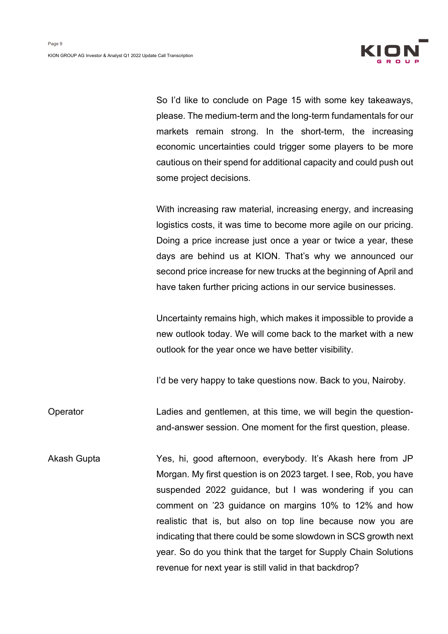

So I'd like to conclude on Page 15 with some key takeaways, please. The medium-term and the long-term fundamentals for our markets remain strong. In the short-term, the increasing economic uncertainties could trigger some players to be more cautious on their spend for additional capacity and could push out some project decisions.

With increasing raw material, increasing energy, and increasing logistics costs, it was time to become more agile on our pricing. Doing a price increase just once a year or twice a year, these days are behind us at KION. That's why we announced our second price increase for new trucks at the beginning of April and have taken further pricing actions in our service businesses.

Uncertainty remains high, which makes it impossible to provide a new outlook today. We will come back to the market with a new outlook for the year once we have better visibility.

I'd be very happy to take questions now. Back to you, Nairoby.

Operator Ladies and gentlemen, at this time, we will begin the questionand-answer session. One moment for the first question, please.

Akash Gupta Yes, hi, good afternoon, everybody. It's Akash here from JP Morgan. My first question is on 2023 target. I see, Rob, you have suspended 2022 guidance, but I was wondering if you can comment on '23 guidance on margins 10% to 12% and how realistic that is, but also on top line because now you are indicating that there could be some slowdown in SCS growth next year. So do you think that the target for Supply Chain Solutions revenue for next year is still valid in that backdrop?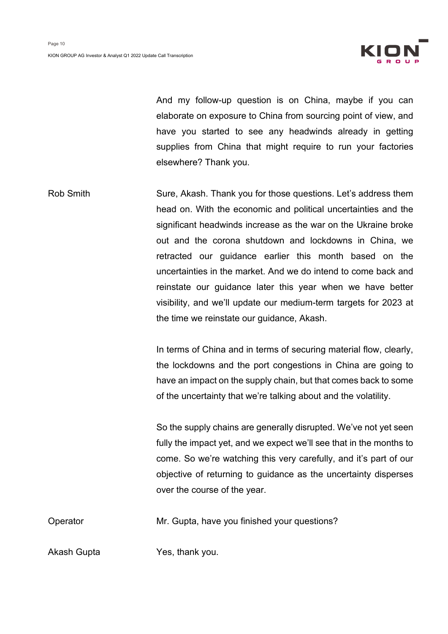

And my follow-up question is on China, maybe if you can elaborate on exposure to China from sourcing point of view, and have you started to see any headwinds already in getting supplies from China that might require to run your factories elsewhere? Thank you.

Rob Smith Sure, Akash. Thank you for those questions. Let's address them head on. With the economic and political uncertainties and the significant headwinds increase as the war on the Ukraine broke out and the corona shutdown and lockdowns in China, we retracted our guidance earlier this month based on the uncertainties in the market. And we do intend to come back and reinstate our guidance later this year when we have better visibility, and we'll update our medium-term targets for 2023 at the time we reinstate our guidance, Akash.

> In terms of China and in terms of securing material flow, clearly, the lockdowns and the port congestions in China are going to have an impact on the supply chain, but that comes back to some of the uncertainty that we're talking about and the volatility.

> So the supply chains are generally disrupted. We've not yet seen fully the impact yet, and we expect we'll see that in the months to come. So we're watching this very carefully, and it's part of our objective of returning to guidance as the uncertainty disperses over the course of the year.

Operator Mr. Gupta, have you finished your questions?

Akash Gupta Yes, thank you.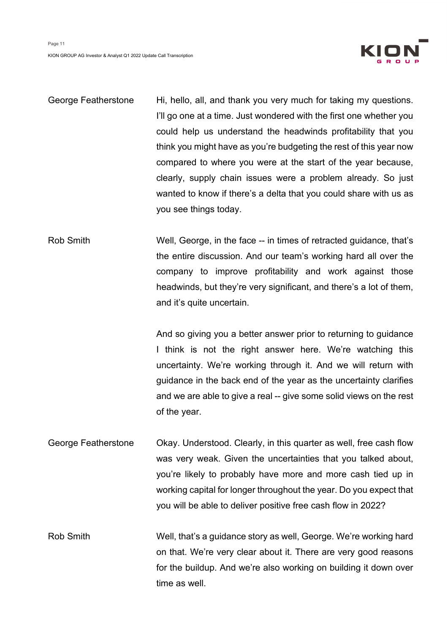

| George Featherstone | Hi, hello, all, and thank you very much for taking my questions.    |
|---------------------|---------------------------------------------------------------------|
|                     | I'll go one at a time. Just wondered with the first one whether you |
|                     | could help us understand the headwinds profitability that you       |
|                     | think you might have as you're budgeting the rest of this year now  |
|                     | compared to where you were at the start of the year because,        |
|                     | clearly, supply chain issues were a problem already. So just        |
|                     | wanted to know if there's a delta that you could share with us as   |
|                     | you see things today.                                               |

Rob Smith Well, George, in the face -- in times of retracted guidance, that's the entire discussion. And our team's working hard all over the company to improve profitability and work against those headwinds, but they're very significant, and there's a lot of them, and it's quite uncertain.

> And so giving you a better answer prior to returning to guidance I think is not the right answer here. We're watching this uncertainty. We're working through it. And we will return with guidance in the back end of the year as the uncertainty clarifies and we are able to give a real -- give some solid views on the rest of the year.

George Featherstone Okay. Understood. Clearly, in this quarter as well, free cash flow was very weak. Given the uncertainties that you talked about, you're likely to probably have more and more cash tied up in working capital for longer throughout the year. Do you expect that you will be able to deliver positive free cash flow in 2022?

Rob Smith Well, that's a guidance story as well, George. We're working hard on that. We're very clear about it. There are very good reasons for the buildup. And we're also working on building it down over time as well.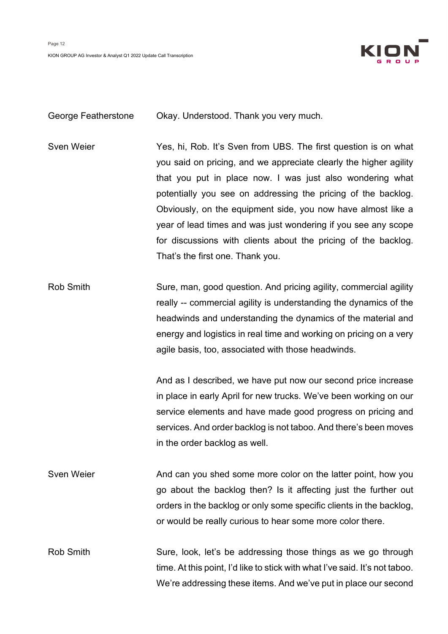

George Featherstone Okay. Understood. Thank you very much.

Sven Weier Yes, hi, Rob. It's Sven from UBS. The first question is on what you said on pricing, and we appreciate clearly the higher agility that you put in place now. I was just also wondering what potentially you see on addressing the pricing of the backlog. Obviously, on the equipment side, you now have almost like a year of lead times and was just wondering if you see any scope for discussions with clients about the pricing of the backlog. That's the first one. Thank you.

Rob Smith Sure, man, good question. And pricing agility, commercial agility really -- commercial agility is understanding the dynamics of the headwinds and understanding the dynamics of the material and energy and logistics in real time and working on pricing on a very agile basis, too, associated with those headwinds.

> And as I described, we have put now our second price increase in place in early April for new trucks. We've been working on our service elements and have made good progress on pricing and services. And order backlog is not taboo. And there's been moves in the order backlog as well.

Sven Weier **And can you shed some more color on the latter point, how you** go about the backlog then? Is it affecting just the further out orders in the backlog or only some specific clients in the backlog, or would be really curious to hear some more color there.

Rob Smith Sure, look, let's be addressing those things as we go through time. At this point, I'd like to stick with what I've said. It's not taboo. We're addressing these items. And we've put in place our second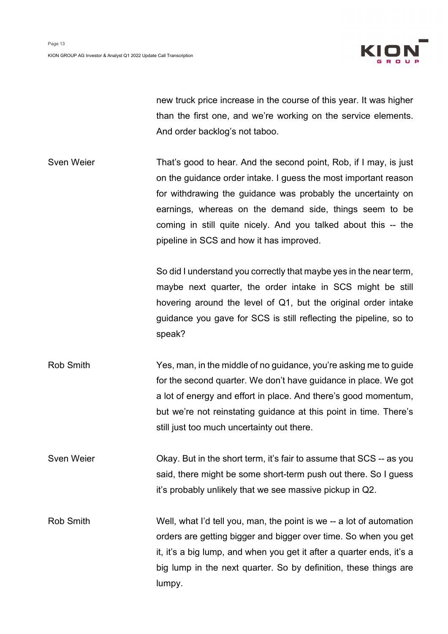

new truck price increase in the course of this year. It was higher than the first one, and we're working on the service elements. And order backlog's not taboo.

Sven Weier That's good to hear. And the second point, Rob, if I may, is just on the guidance order intake. I guess the most important reason for withdrawing the guidance was probably the uncertainty on earnings, whereas on the demand side, things seem to be coming in still quite nicely. And you talked about this -- the pipeline in SCS and how it has improved.

> So did I understand you correctly that maybe yes in the near term, maybe next quarter, the order intake in SCS might be still hovering around the level of Q1, but the original order intake guidance you gave for SCS is still reflecting the pipeline, so to speak?

- Rob Smith Yes, man, in the middle of no guidance, you're asking me to guide for the second quarter. We don't have guidance in place. We got a lot of energy and effort in place. And there's good momentum, but we're not reinstating guidance at this point in time. There's still just too much uncertainty out there.
- Sven Weier **Okay.** But in the short term, it's fair to assume that SCS -- as you said, there might be some short-term push out there. So I guess it's probably unlikely that we see massive pickup in Q2.
- Rob Smith Well, what I'd tell you, man, the point is we -- a lot of automation orders are getting bigger and bigger over time. So when you get it, it's a big lump, and when you get it after a quarter ends, it's a big lump in the next quarter. So by definition, these things are lumpy.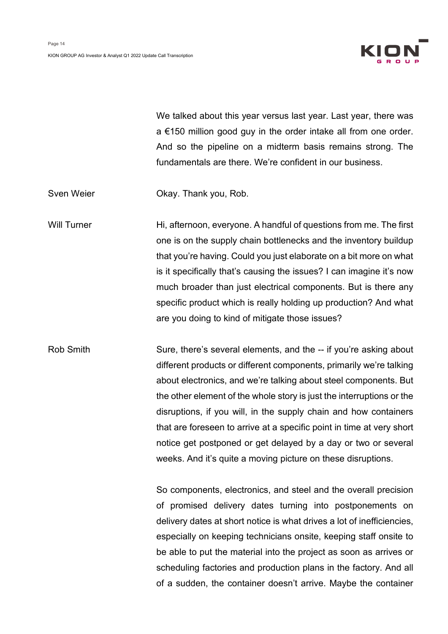

We talked about this year versus last year. Last year, there was a €150 million good guy in the order intake all from one order. And so the pipeline on a midterm basis remains strong. The fundamentals are there. We're confident in our business.

Sven Weier **Okay. Thank you, Rob.** 

Will Turner **Hi**, afternoon, everyone. A handful of questions from me. The first one is on the supply chain bottlenecks and the inventory buildup that you're having. Could you just elaborate on a bit more on what is it specifically that's causing the issues? I can imagine it's now much broader than just electrical components. But is there any specific product which is really holding up production? And what are you doing to kind of mitigate those issues?

Rob Smith Sure, there's several elements, and the -- if you're asking about different products or different components, primarily we're talking about electronics, and we're talking about steel components. But the other element of the whole story is just the interruptions or the disruptions, if you will, in the supply chain and how containers that are foreseen to arrive at a specific point in time at very short notice get postponed or get delayed by a day or two or several weeks. And it's quite a moving picture on these disruptions.

> So components, electronics, and steel and the overall precision of promised delivery dates turning into postponements on delivery dates at short notice is what drives a lot of inefficiencies, especially on keeping technicians onsite, keeping staff onsite to be able to put the material into the project as soon as arrives or scheduling factories and production plans in the factory. And all of a sudden, the container doesn't arrive. Maybe the container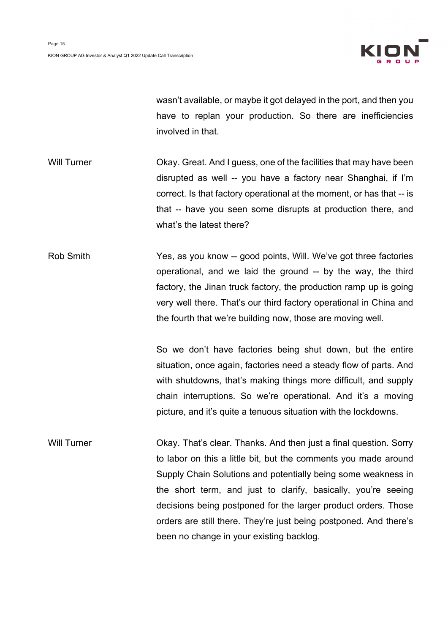

wasn't available, or maybe it got delayed in the port, and then you have to replan your production. So there are inefficiencies involved in that.

Will Turner **CKay.** Great. And I guess, one of the facilities that may have been disrupted as well -- you have a factory near Shanghai, if I'm correct. Is that factory operational at the moment, or has that -- is that -- have you seen some disrupts at production there, and what's the latest there?

Rob Smith Yes, as you know -- good points, Will. We've got three factories operational, and we laid the ground -- by the way, the third factory, the Jinan truck factory, the production ramp up is going very well there. That's our third factory operational in China and the fourth that we're building now, those are moving well.

> So we don't have factories being shut down, but the entire situation, once again, factories need a steady flow of parts. And with shutdowns, that's making things more difficult, and supply chain interruptions. So we're operational. And it's a moving picture, and it's quite a tenuous situation with the lockdowns.

Will Turner **CKAY.** That's clear. Thanks. And then just a final question. Sorry to labor on this a little bit, but the comments you made around Supply Chain Solutions and potentially being some weakness in the short term, and just to clarify, basically, you're seeing decisions being postponed for the larger product orders. Those orders are still there. They're just being postponed. And there's been no change in your existing backlog.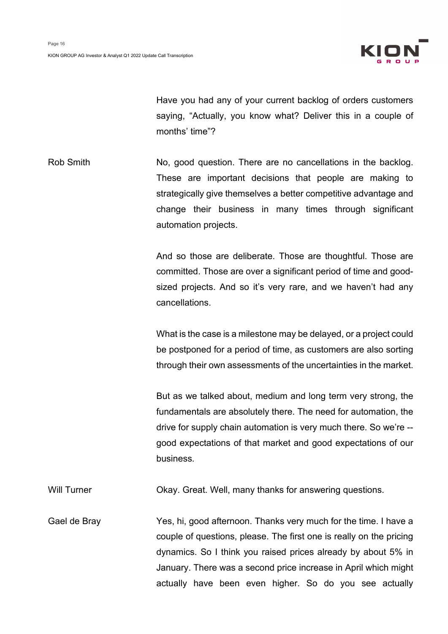

Have you had any of your current backlog of orders customers saying, "Actually, you know what? Deliver this in a couple of months' time"?

Rob Smith No, good question. There are no cancellations in the backlog. These are important decisions that people are making to strategically give themselves a better competitive advantage and change their business in many times through significant automation projects.

> And so those are deliberate. Those are thoughtful. Those are committed. Those are over a significant period of time and goodsized projects. And so it's very rare, and we haven't had any cancellations.

> What is the case is a milestone may be delayed, or a project could be postponed for a period of time, as customers are also sorting through their own assessments of the uncertainties in the market.

> But as we talked about, medium and long term very strong, the fundamentals are absolutely there. The need for automation, the drive for supply chain automation is very much there. So we're - good expectations of that market and good expectations of our business.

Will Turner **CKAY.** Great. Well, many thanks for answering questions.

Gael de Bray Yes, hi, good afternoon. Thanks very much for the time. I have a couple of questions, please. The first one is really on the pricing dynamics. So I think you raised prices already by about 5% in January. There was a second price increase in April which might actually have been even higher. So do you see actually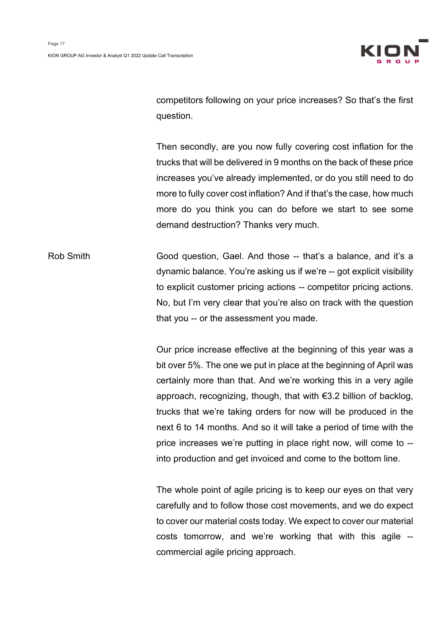

competitors following on your price increases? So that's the first question.

Then secondly, are you now fully covering cost inflation for the trucks that will be delivered in 9 months on the back of these price increases you've already implemented, or do you still need to do more to fully cover cost inflation? And if that's the case, how much more do you think you can do before we start to see some demand destruction? Thanks very much.

Rob Smith Good question, Gael. And those -- that's a balance, and it's a dynamic balance. You're asking us if we're -- got explicit visibility to explicit customer pricing actions -- competitor pricing actions. No, but I'm very clear that you're also on track with the question that you -- or the assessment you made.

> Our price increase effective at the beginning of this year was a bit over 5%. The one we put in place at the beginning of April was certainly more than that. And we're working this in a very agile approach, recognizing, though, that with €3.2 billion of backlog, trucks that we're taking orders for now will be produced in the next 6 to 14 months. And so it will take a period of time with the price increases we're putting in place right now, will come to - into production and get invoiced and come to the bottom line.

> The whole point of agile pricing is to keep our eyes on that very carefully and to follow those cost movements, and we do expect to cover our material costs today. We expect to cover our material costs tomorrow, and we're working that with this agile - commercial agile pricing approach.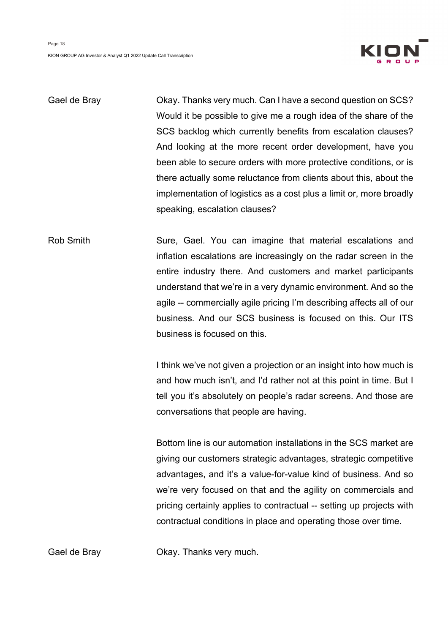

Gael de Bray Chay Okay. Thanks very much. Can I have a second question on SCS? Would it be possible to give me a rough idea of the share of the SCS backlog which currently benefits from escalation clauses? And looking at the more recent order development, have you been able to secure orders with more protective conditions, or is there actually some reluctance from clients about this, about the implementation of logistics as a cost plus a limit or, more broadly speaking, escalation clauses?

Rob Smith Sure, Gael. You can imagine that material escalations and inflation escalations are increasingly on the radar screen in the entire industry there. And customers and market participants understand that we're in a very dynamic environment. And so the agile -- commercially agile pricing I'm describing affects all of our business. And our SCS business is focused on this. Our ITS business is focused on this.

> I think we've not given a projection or an insight into how much is and how much isn't, and I'd rather not at this point in time. But I tell you it's absolutely on people's radar screens. And those are conversations that people are having.

> Bottom line is our automation installations in the SCS market are giving our customers strategic advantages, strategic competitive advantages, and it's a value-for-value kind of business. And so we're very focused on that and the agility on commercials and pricing certainly applies to contractual -- setting up projects with contractual conditions in place and operating those over time.

Gael de Bray **Channer Collact Contains Channers** Gael de Bray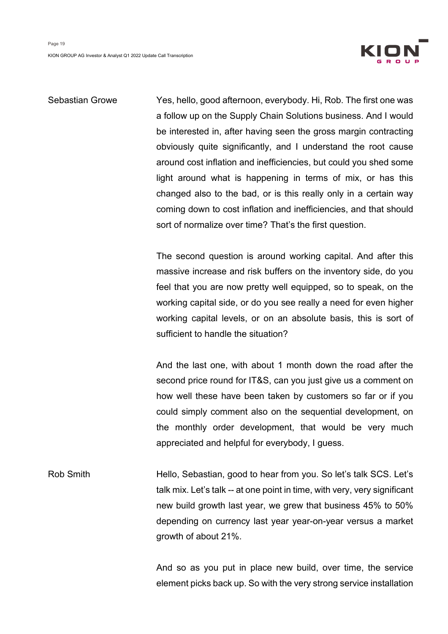

# Sebastian Growe Yes, hello, good afternoon, everybody. Hi, Rob. The first one was a follow up on the Supply Chain Solutions business. And I would be interested in, after having seen the gross margin contracting obviously quite significantly, and I understand the root cause around cost inflation and inefficiencies, but could you shed some light around what is happening in terms of mix, or has this changed also to the bad, or is this really only in a certain way coming down to cost inflation and inefficiencies, and that should sort of normalize over time? That's the first question.

The second question is around working capital. And after this massive increase and risk buffers on the inventory side, do you feel that you are now pretty well equipped, so to speak, on the working capital side, or do you see really a need for even higher working capital levels, or on an absolute basis, this is sort of sufficient to handle the situation?

And the last one, with about 1 month down the road after the second price round for IT&S, can you just give us a comment on how well these have been taken by customers so far or if you could simply comment also on the sequential development, on the monthly order development, that would be very much appreciated and helpful for everybody, I guess.

Rob Smith **Hello, Sebastian, good to hear from you.** So let's talk SCS. Let's talk mix. Let's talk -- at one point in time, with very, very significant new build growth last year, we grew that business 45% to 50% depending on currency last year year-on-year versus a market growth of about 21%.

> And so as you put in place new build, over time, the service element picks back up. So with the very strong service installation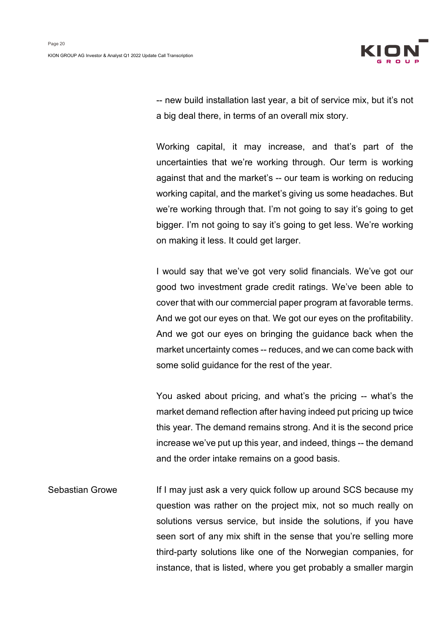

-- new build installation last year, a bit of service mix, but it's not a big deal there, in terms of an overall mix story.

Working capital, it may increase, and that's part of the uncertainties that we're working through. Our term is working against that and the market's -- our team is working on reducing working capital, and the market's giving us some headaches. But we're working through that. I'm not going to say it's going to get bigger. I'm not going to say it's going to get less. We're working on making it less. It could get larger.

I would say that we've got very solid financials. We've got our good two investment grade credit ratings. We've been able to cover that with our commercial paper program at favorable terms. And we got our eyes on that. We got our eyes on the profitability. And we got our eyes on bringing the guidance back when the market uncertainty comes -- reduces, and we can come back with some solid guidance for the rest of the year.

You asked about pricing, and what's the pricing -- what's the market demand reflection after having indeed put pricing up twice this year. The demand remains strong. And it is the second price increase we've put up this year, and indeed, things -- the demand and the order intake remains on a good basis.

Sebastian Growe If I may just ask a very quick follow up around SCS because my question was rather on the project mix, not so much really on solutions versus service, but inside the solutions, if you have seen sort of any mix shift in the sense that you're selling more third-party solutions like one of the Norwegian companies, for instance, that is listed, where you get probably a smaller margin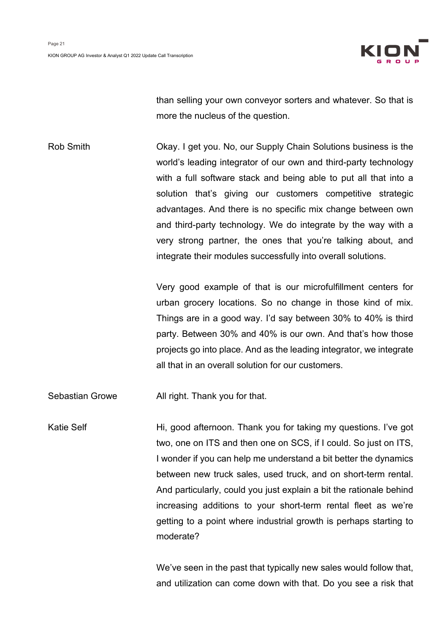

than selling your own conveyor sorters and whatever. So that is more the nucleus of the question.

Rob Smith **Chay. I get you. No, our Supply Chain Solutions business is the** world's leading integrator of our own and third-party technology with a full software stack and being able to put all that into a solution that's giving our customers competitive strategic advantages. And there is no specific mix change between own and third-party technology. We do integrate by the way with a very strong partner, the ones that you're talking about, and integrate their modules successfully into overall solutions.

> Very good example of that is our microfulfillment centers for urban grocery locations. So no change in those kind of mix. Things are in a good way. I'd say between 30% to 40% is third party. Between 30% and 40% is our own. And that's how those projects go into place. And as the leading integrator, we integrate all that in an overall solution for our customers.

Sebastian Growe All right. Thank you for that.

Katie Self **Hi**, good afternoon. Thank you for taking my questions. I've got two, one on ITS and then one on SCS, if I could. So just on ITS, I wonder if you can help me understand a bit better the dynamics between new truck sales, used truck, and on short-term rental. And particularly, could you just explain a bit the rationale behind increasing additions to your short-term rental fleet as we're getting to a point where industrial growth is perhaps starting to moderate?

> We've seen in the past that typically new sales would follow that, and utilization can come down with that. Do you see a risk that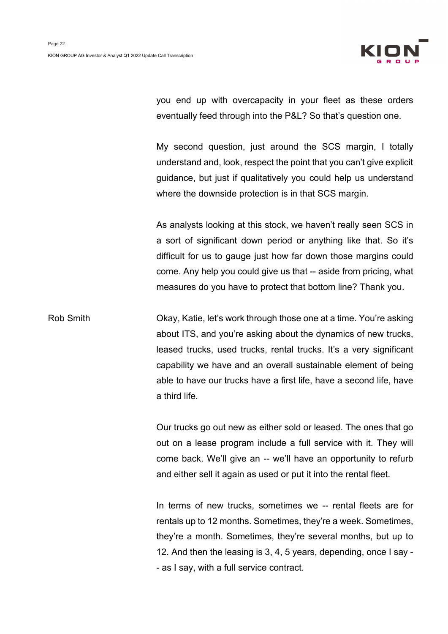

you end up with overcapacity in your fleet as these orders eventually feed through into the P&L? So that's question one.

My second question, just around the SCS margin, I totally understand and, look, respect the point that you can't give explicit guidance, but just if qualitatively you could help us understand where the downside protection is in that SCS margin.

As analysts looking at this stock, we haven't really seen SCS in a sort of significant down period or anything like that. So it's difficult for us to gauge just how far down those margins could come. Any help you could give us that -- aside from pricing, what measures do you have to protect that bottom line? Thank you.

Rob Smith Chay, Katie, let's work through those one at a time. You're asking about ITS, and you're asking about the dynamics of new trucks, leased trucks, used trucks, rental trucks. It's a very significant capability we have and an overall sustainable element of being able to have our trucks have a first life, have a second life, have a third life.

> Our trucks go out new as either sold or leased. The ones that go out on a lease program include a full service with it. They will come back. We'll give an -- we'll have an opportunity to refurb and either sell it again as used or put it into the rental fleet.

> In terms of new trucks, sometimes we -- rental fleets are for rentals up to 12 months. Sometimes, they're a week. Sometimes, they're a month. Sometimes, they're several months, but up to 12. And then the leasing is 3, 4, 5 years, depending, once I say - - as I say, with a full service contract.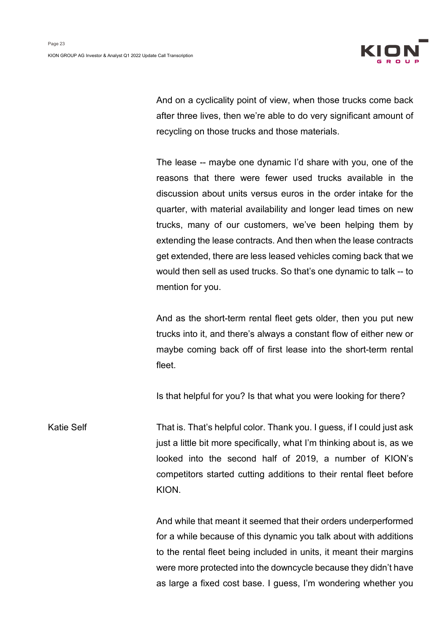

And on a cyclicality point of view, when those trucks come back after three lives, then we're able to do very significant amount of recycling on those trucks and those materials.

The lease -- maybe one dynamic I'd share with you, one of the reasons that there were fewer used trucks available in the discussion about units versus euros in the order intake for the quarter, with material availability and longer lead times on new trucks, many of our customers, we've been helping them by extending the lease contracts. And then when the lease contracts get extended, there are less leased vehicles coming back that we would then sell as used trucks. So that's one dynamic to talk -- to mention for you.

And as the short-term rental fleet gets older, then you put new trucks into it, and there's always a constant flow of either new or maybe coming back off of first lease into the short-term rental fleet.

Is that helpful for you? Is that what you were looking for there?

Katie Self That is. That's helpful color. Thank you. I guess, if I could just ask just a little bit more specifically, what I'm thinking about is, as we looked into the second half of 2019, a number of KION's competitors started cutting additions to their rental fleet before KION.

> And while that meant it seemed that their orders underperformed for a while because of this dynamic you talk about with additions to the rental fleet being included in units, it meant their margins were more protected into the downcycle because they didn't have as large a fixed cost base. I guess, I'm wondering whether you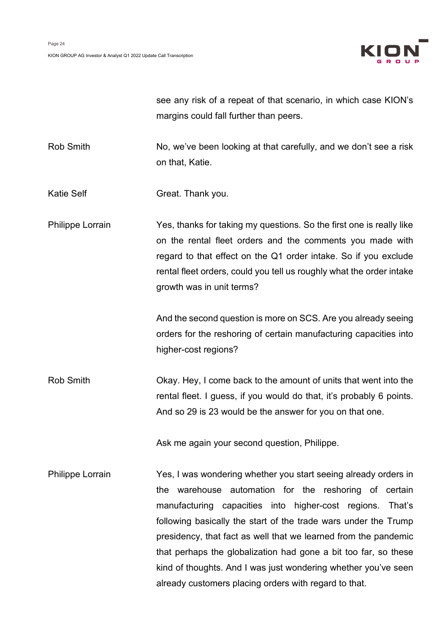

see any risk of a repeat of that scenario, in which case KION's margins could fall further than peers.

Rob Smith No, we've been looking at that carefully, and we don't see a risk on that, Katie.

Katie Self Great. Thank you.

Philippe Lorrain Yes, thanks for taking my questions. So the first one is really like on the rental fleet orders and the comments you made with regard to that effect on the Q1 order intake. So if you exclude rental fleet orders, could you tell us roughly what the order intake growth was in unit terms?

> And the second question is more on SCS. Are you already seeing orders for the reshoring of certain manufacturing capacities into higher-cost regions?

Rob Smith **Chay.** Hey, I come back to the amount of units that went into the rental fleet. I guess, if you would do that, it's probably 6 points. And so 29 is 23 would be the answer for you on that one.

Ask me again your second question, Philippe.

Philippe Lorrain Yes, I was wondering whether you start seeing already orders in the warehouse automation for the reshoring of certain manufacturing capacities into higher-cost regions. That's following basically the start of the trade wars under the Trump presidency, that fact as well that we learned from the pandemic that perhaps the globalization had gone a bit too far, so these kind of thoughts. And I was just wondering whether you've seen already customers placing orders with regard to that.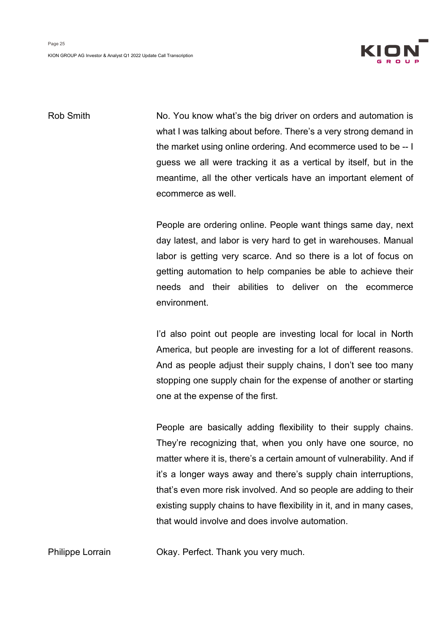

Rob Smith No. You know what's the big driver on orders and automation is what I was talking about before. There's a very strong demand in the market using online ordering. And ecommerce used to be -- I guess we all were tracking it as a vertical by itself, but in the meantime, all the other verticals have an important element of ecommerce as well.

> People are ordering online. People want things same day, next day latest, and labor is very hard to get in warehouses. Manual labor is getting very scarce. And so there is a lot of focus on getting automation to help companies be able to achieve their needs and their abilities to deliver on the ecommerce environment.

> I'd also point out people are investing local for local in North America, but people are investing for a lot of different reasons. And as people adjust their supply chains, I don't see too many stopping one supply chain for the expense of another or starting one at the expense of the first.

> People are basically adding flexibility to their supply chains. They're recognizing that, when you only have one source, no matter where it is, there's a certain amount of vulnerability. And if it's a longer ways away and there's supply chain interruptions, that's even more risk involved. And so people are adding to their existing supply chains to have flexibility in it, and in many cases, that would involve and does involve automation.

Philippe Lorrain Okay. Perfect. Thank you very much.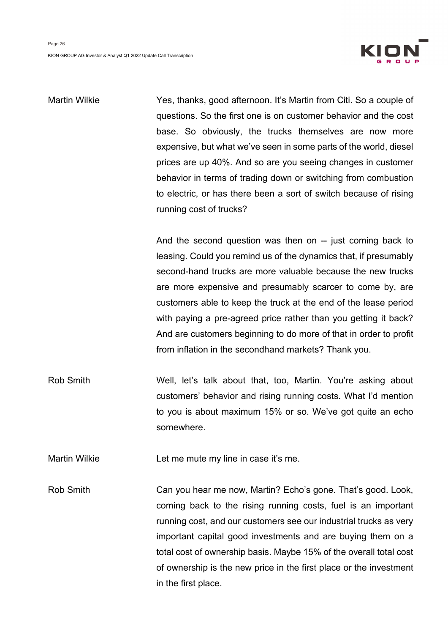

Martin Wilkie Yes, thanks, good afternoon. It's Martin from Citi. So a couple of questions. So the first one is on customer behavior and the cost base. So obviously, the trucks themselves are now more expensive, but what we've seen in some parts of the world, diesel prices are up 40%. And so are you seeing changes in customer behavior in terms of trading down or switching from combustion to electric, or has there been a sort of switch because of rising running cost of trucks?

> And the second question was then on -- just coming back to leasing. Could you remind us of the dynamics that, if presumably second-hand trucks are more valuable because the new trucks are more expensive and presumably scarcer to come by, are customers able to keep the truck at the end of the lease period with paying a pre-agreed price rather than you getting it back? And are customers beginning to do more of that in order to profit from inflation in the secondhand markets? Thank you.

Rob Smith Well, let's talk about that, too, Martin. You're asking about customers' behavior and rising running costs. What I'd mention to you is about maximum 15% or so. We've got quite an echo somewhere.

Martin Wilkie Let me mute my line in case it's me.

Rob Smith Can you hear me now, Martin? Echo's gone. That's good. Look, coming back to the rising running costs, fuel is an important running cost, and our customers see our industrial trucks as very important capital good investments and are buying them on a total cost of ownership basis. Maybe 15% of the overall total cost of ownership is the new price in the first place or the investment in the first place.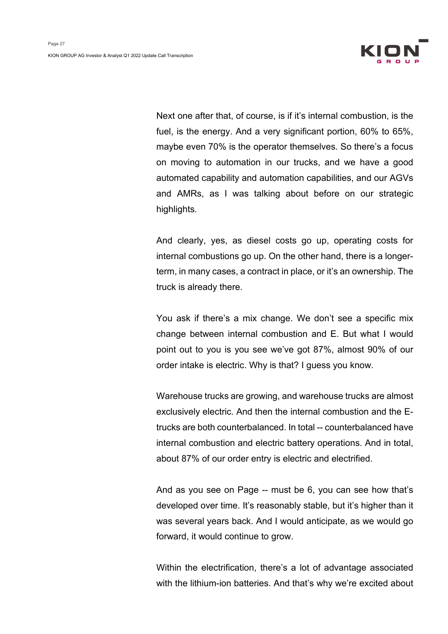

Next one after that, of course, is if it's internal combustion, is the fuel, is the energy. And a very significant portion, 60% to 65%, maybe even 70% is the operator themselves. So there's a focus on moving to automation in our trucks, and we have a good automated capability and automation capabilities, and our AGVs and AMRs, as I was talking about before on our strategic highlights.

And clearly, yes, as diesel costs go up, operating costs for internal combustions go up. On the other hand, there is a longerterm, in many cases, a contract in place, or it's an ownership. The truck is already there.

You ask if there's a mix change. We don't see a specific mix change between internal combustion and E. But what I would point out to you is you see we've got 87%, almost 90% of our order intake is electric. Why is that? I guess you know.

Warehouse trucks are growing, and warehouse trucks are almost exclusively electric. And then the internal combustion and the Etrucks are both counterbalanced. In total -- counterbalanced have internal combustion and electric battery operations. And in total, about 87% of our order entry is electric and electrified.

And as you see on Page -- must be 6, you can see how that's developed over time. It's reasonably stable, but it's higher than it was several years back. And I would anticipate, as we would go forward, it would continue to grow.

Within the electrification, there's a lot of advantage associated with the lithium-ion batteries. And that's why we're excited about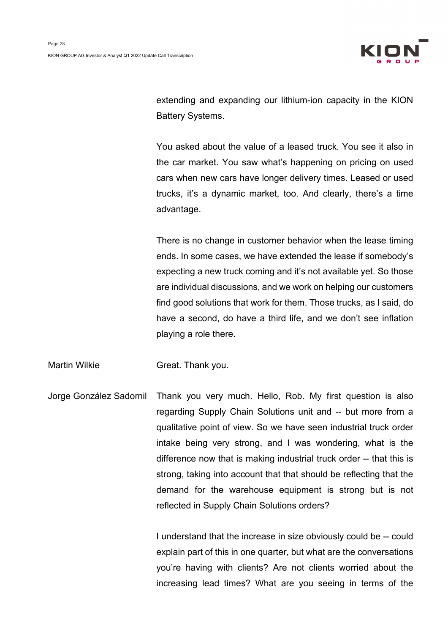

extending and expanding our lithium-ion capacity in the KION Battery Systems.

You asked about the value of a leased truck. You see it also in the car market. You saw what's happening on pricing on used cars when new cars have longer delivery times. Leased or used trucks, it's a dynamic market, too. And clearly, there's a time advantage.

There is no change in customer behavior when the lease timing ends. In some cases, we have extended the lease if somebody's expecting a new truck coming and it's not available yet. So those are individual discussions, and we work on helping our customers find good solutions that work for them. Those trucks, as I said, do have a second, do have a third life, and we don't see inflation playing a role there.

Martin Wilkie **Great. Thank you.** 

Jorge González Sadornil Thank you very much. Hello, Rob. My first question is also regarding Supply Chain Solutions unit and -- but more from a qualitative point of view. So we have seen industrial truck order intake being very strong, and I was wondering, what is the difference now that is making industrial truck order -- that this is strong, taking into account that that should be reflecting that the demand for the warehouse equipment is strong but is not reflected in Supply Chain Solutions orders?

> I understand that the increase in size obviously could be -- could explain part of this in one quarter, but what are the conversations you're having with clients? Are not clients worried about the increasing lead times? What are you seeing in terms of the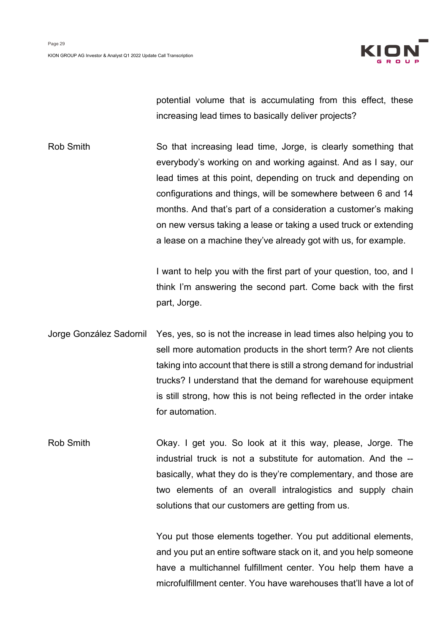

potential volume that is accumulating from this effect, these increasing lead times to basically deliver projects?

Rob Smith So that increasing lead time, Jorge, is clearly something that everybody's working on and working against. And as I say, our lead times at this point, depending on truck and depending on configurations and things, will be somewhere between 6 and 14 months. And that's part of a consideration a customer's making on new versus taking a lease or taking a used truck or extending a lease on a machine they've already got with us, for example.

> I want to help you with the first part of your question, too, and I think I'm answering the second part. Come back with the first part, Jorge.

Jorge González Sadornil Yes, yes, so is not the increase in lead times also helping you to sell more automation products in the short term? Are not clients taking into account that there is still a strong demand for industrial trucks? I understand that the demand for warehouse equipment is still strong, how this is not being reflected in the order intake for automation.

Rob Smith Okay. I get you. So look at it this way, please, Jorge. The industrial truck is not a substitute for automation. And the - basically, what they do is they're complementary, and those are two elements of an overall intralogistics and supply chain solutions that our customers are getting from us.

> You put those elements together. You put additional elements, and you put an entire software stack on it, and you help someone have a multichannel fulfillment center. You help them have a microfulfillment center. You have warehouses that'll have a lot of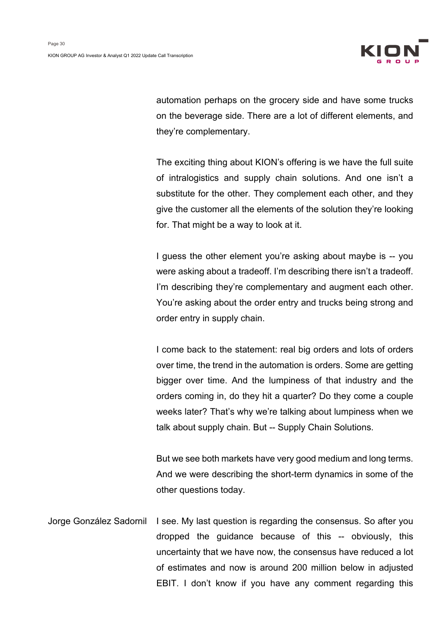

automation perhaps on the grocery side and have some trucks on the beverage side. There are a lot of different elements, and they're complementary.

The exciting thing about KION's offering is we have the full suite of intralogistics and supply chain solutions. And one isn't a substitute for the other. They complement each other, and they give the customer all the elements of the solution they're looking for. That might be a way to look at it.

I guess the other element you're asking about maybe is -- you were asking about a tradeoff. I'm describing there isn't a tradeoff. I'm describing they're complementary and augment each other. You're asking about the order entry and trucks being strong and order entry in supply chain.

I come back to the statement: real big orders and lots of orders over time, the trend in the automation is orders. Some are getting bigger over time. And the lumpiness of that industry and the orders coming in, do they hit a quarter? Do they come a couple weeks later? That's why we're talking about lumpiness when we talk about supply chain. But -- Supply Chain Solutions.

But we see both markets have very good medium and long terms. And we were describing the short-term dynamics in some of the other questions today.

Jorge González Sadornil I see. My last question is regarding the consensus. So after you dropped the guidance because of this -- obviously, this uncertainty that we have now, the consensus have reduced a lot of estimates and now is around 200 million below in adjusted EBIT. I don't know if you have any comment regarding this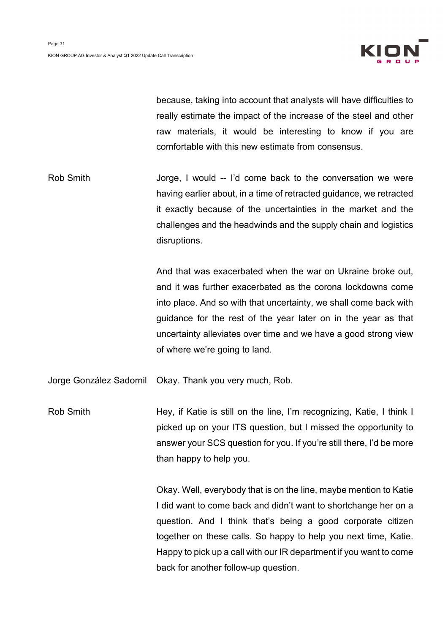

because, taking into account that analysts will have difficulties to really estimate the impact of the increase of the steel and other raw materials, it would be interesting to know if you are comfortable with this new estimate from consensus.

Rob Smith Jorge, I would -- I'd come back to the conversation we were having earlier about, in a time of retracted guidance, we retracted it exactly because of the uncertainties in the market and the challenges and the headwinds and the supply chain and logistics disruptions.

> And that was exacerbated when the war on Ukraine broke out, and it was further exacerbated as the corona lockdowns come into place. And so with that uncertainty, we shall come back with guidance for the rest of the year later on in the year as that uncertainty alleviates over time and we have a good strong view of where we're going to land.

Jorge González Sadornil Okay. Thank you very much, Rob.

Rob Smith Hey, if Katie is still on the line, I'm recognizing, Katie, I think I picked up on your ITS question, but I missed the opportunity to answer your SCS question for you. If you're still there, I'd be more than happy to help you.

> Okay. Well, everybody that is on the line, maybe mention to Katie I did want to come back and didn't want to shortchange her on a question. And I think that's being a good corporate citizen together on these calls. So happy to help you next time, Katie. Happy to pick up a call with our IR department if you want to come back for another follow-up question.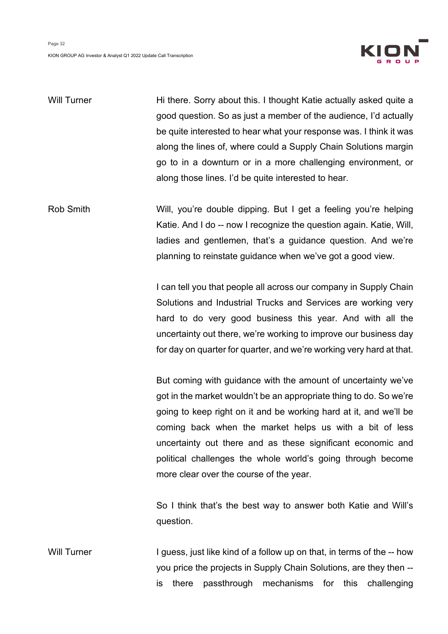

| <b>Will Turner</b> | Hi there. Sorry about this. I thought Katie actually asked quite a<br>good question. So as just a member of the audience, I'd actually<br>be quite interested to hear what your response was. I think it was<br>along the lines of, where could a Supply Chain Solutions margin<br>go to in a downturn or in a more challenging environment, or<br>along those lines. I'd be quite interested to hear.                                       |
|--------------------|----------------------------------------------------------------------------------------------------------------------------------------------------------------------------------------------------------------------------------------------------------------------------------------------------------------------------------------------------------------------------------------------------------------------------------------------|
| <b>Rob Smith</b>   | Will, you're double dipping. But I get a feeling you're helping<br>Katie. And I do -- now I recognize the question again. Katie, Will,<br>ladies and gentlemen, that's a guidance question. And we're<br>planning to reinstate guidance when we've got a good view.                                                                                                                                                                          |
|                    | I can tell you that people all across our company in Supply Chain<br>Solutions and Industrial Trucks and Services are working very<br>hard to do very good business this year. And with all the<br>uncertainty out there, we're working to improve our business day<br>for day on quarter for quarter, and we're working very hard at that.                                                                                                  |
|                    | But coming with guidance with the amount of uncertainty we've<br>got in the market wouldn't be an appropriate thing to do. So we're<br>going to keep right on it and be working hard at it, and we'll be<br>coming back when the market helps us with a bit of less<br>uncertainty out there and as these significant economic and<br>political challenges the whole world's going through become<br>more clear over the course of the year. |
|                    | So I think that's the best way to answer both Katie and Will's<br>question.                                                                                                                                                                                                                                                                                                                                                                  |

Will Turner I guess, just like kind of a follow up on that, in terms of the -- how you price the projects in Supply Chain Solutions, are they then - is there passthrough mechanisms for this challenging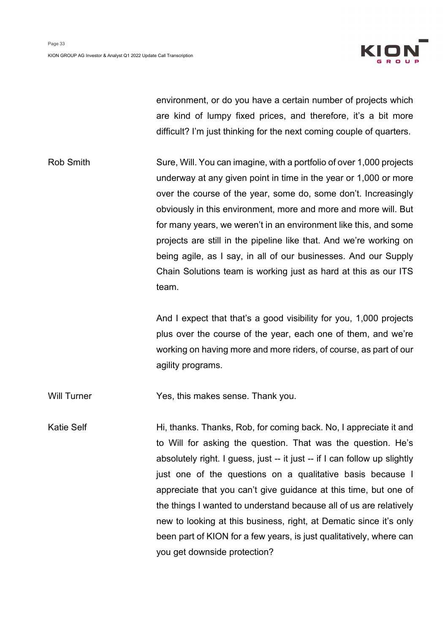

environment, or do you have a certain number of projects which are kind of lumpy fixed prices, and therefore, it's a bit more difficult? I'm just thinking for the next coming couple of quarters.

Rob Smith Sure, Will. You can imagine, with a portfolio of over 1,000 projects underway at any given point in time in the year or 1,000 or more over the course of the year, some do, some don't. Increasingly obviously in this environment, more and more and more will. But for many years, we weren't in an environment like this, and some projects are still in the pipeline like that. And we're working on being agile, as I say, in all of our businesses. And our Supply Chain Solutions team is working just as hard at this as our ITS team.

> And I expect that that's a good visibility for you, 1,000 projects plus over the course of the year, each one of them, and we're working on having more and more riders, of course, as part of our agility programs.

Will Turner Yes, this makes sense. Thank you.

Katie Self **Hi**, thanks. Thanks, Rob, for coming back. No, I appreciate it and to Will for asking the question. That was the question. He's absolutely right. I guess, just -- it just -- if I can follow up slightly just one of the questions on a qualitative basis because I appreciate that you can't give guidance at this time, but one of the things I wanted to understand because all of us are relatively new to looking at this business, right, at Dematic since it's only been part of KION for a few years, is just qualitatively, where can you get downside protection?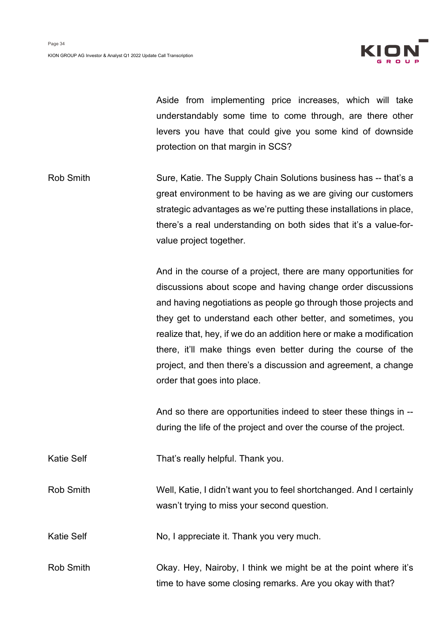

Aside from implementing price increases, which will take understandably some time to come through, are there other levers you have that could give you some kind of downside protection on that margin in SCS?

Rob Smith Sure, Katie. The Supply Chain Solutions business has -- that's a great environment to be having as we are giving our customers strategic advantages as we're putting these installations in place, there's a real understanding on both sides that it's a value-forvalue project together.

> And in the course of a project, there are many opportunities for discussions about scope and having change order discussions and having negotiations as people go through those projects and they get to understand each other better, and sometimes, you realize that, hey, if we do an addition here or make a modification there, it'll make things even better during the course of the project, and then there's a discussion and agreement, a change order that goes into place.

> And so there are opportunities indeed to steer these things in - during the life of the project and over the course of the project.

Katie Self That's really helpful. Thank you.

Rob Smith Well, Katie, I didn't want you to feel shortchanged. And I certainly wasn't trying to miss your second question.

Katie Self No, I appreciate it. Thank you very much.

Rob Smith **Chay.** Hey, Nairoby, I think we might be at the point where it's time to have some closing remarks. Are you okay with that?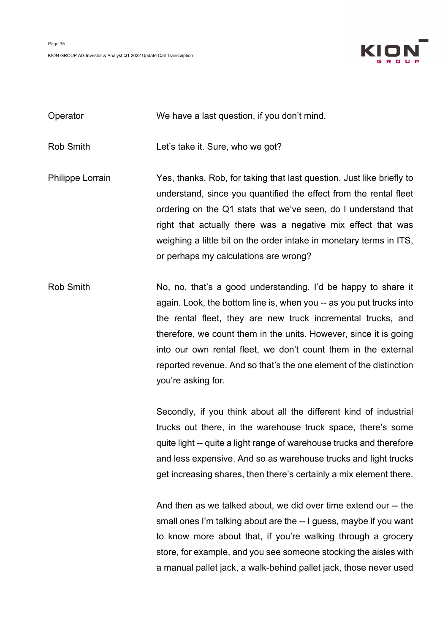

| Operator                | We have a last question, if you don't mind.                                                                                                                                                                                                                                                                                                                                                  |
|-------------------------|----------------------------------------------------------------------------------------------------------------------------------------------------------------------------------------------------------------------------------------------------------------------------------------------------------------------------------------------------------------------------------------------|
| Rob Smith               | Let's take it. Sure, who we got?                                                                                                                                                                                                                                                                                                                                                             |
| <b>Philippe Lorrain</b> | Yes, thanks, Rob, for taking that last question. Just like briefly to<br>understand, since you quantified the effect from the rental fleet<br>ordering on the Q1 stats that we've seen, do I understand that<br>right that actually there was a negative mix effect that was<br>weighing a little bit on the order intake in monetary terms in ITS,<br>or perhaps my calculations are wrong? |

Rob Smith No, no, that's a good understanding. I'd be happy to share it again. Look, the bottom line is, when you -- as you put trucks into the rental fleet, they are new truck incremental trucks, and therefore, we count them in the units. However, since it is going into our own rental fleet, we don't count them in the external reported revenue. And so that's the one element of the distinction you're asking for.

> Secondly, if you think about all the different kind of industrial trucks out there, in the warehouse truck space, there's some quite light -- quite a light range of warehouse trucks and therefore and less expensive. And so as warehouse trucks and light trucks get increasing shares, then there's certainly a mix element there.

> And then as we talked about, we did over time extend our -- the small ones I'm talking about are the -- I guess, maybe if you want to know more about that, if you're walking through a grocery store, for example, and you see someone stocking the aisles with a manual pallet jack, a walk-behind pallet jack, those never used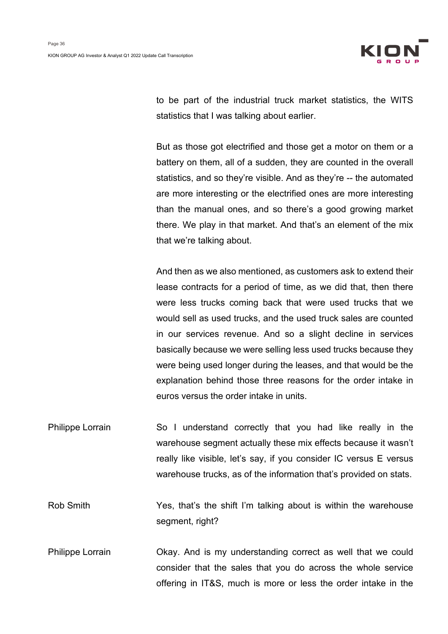

to be part of the industrial truck market statistics, the WITS statistics that I was talking about earlier.

But as those got electrified and those get a motor on them or a battery on them, all of a sudden, they are counted in the overall statistics, and so they're visible. And as they're -- the automated are more interesting or the electrified ones are more interesting than the manual ones, and so there's a good growing market there. We play in that market. And that's an element of the mix that we're talking about.

And then as we also mentioned, as customers ask to extend their lease contracts for a period of time, as we did that, then there were less trucks coming back that were used trucks that we would sell as used trucks, and the used truck sales are counted in our services revenue. And so a slight decline in services basically because we were selling less used trucks because they were being used longer during the leases, and that would be the explanation behind those three reasons for the order intake in euros versus the order intake in units.

Philippe Lorrain So I understand correctly that you had like really in the warehouse segment actually these mix effects because it wasn't really like visible, let's say, if you consider IC versus E versus warehouse trucks, as of the information that's provided on stats.

Rob Smith Yes, that's the shift I'm talking about is within the warehouse segment, right?

Philippe Lorrain Okay. And is my understanding correct as well that we could consider that the sales that you do across the whole service offering in IT&S, much is more or less the order intake in the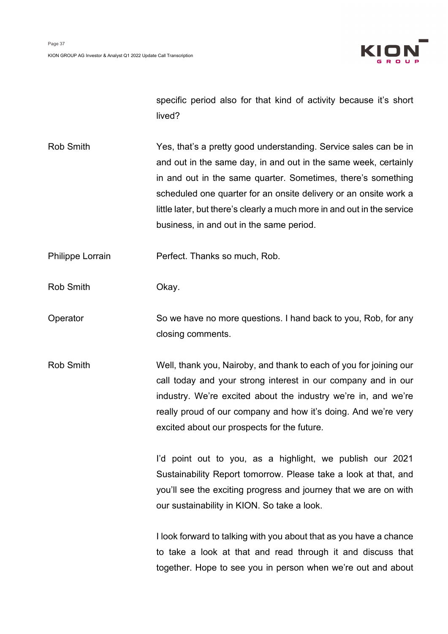

specific period also for that kind of activity because it's short lived?

Rob Smith Yes, that's a pretty good understanding. Service sales can be in and out in the same day, in and out in the same week, certainly in and out in the same quarter. Sometimes, there's something scheduled one quarter for an onsite delivery or an onsite work a little later, but there's clearly a much more in and out in the service business, in and out in the same period.

Philippe Lorrain **Perfect.** Thanks so much, Rob.

Rob Smith **Charles** Okay.

Operator So we have no more questions. I hand back to you, Rob, for any closing comments.

Rob Smith Well, thank you, Nairoby, and thank to each of you for joining our call today and your strong interest in our company and in our industry. We're excited about the industry we're in, and we're really proud of our company and how it's doing. And we're very excited about our prospects for the future.

> I'd point out to you, as a highlight, we publish our 2021 Sustainability Report tomorrow. Please take a look at that, and you'll see the exciting progress and journey that we are on with our sustainability in KION. So take a look.

> I look forward to talking with you about that as you have a chance to take a look at that and read through it and discuss that together. Hope to see you in person when we're out and about